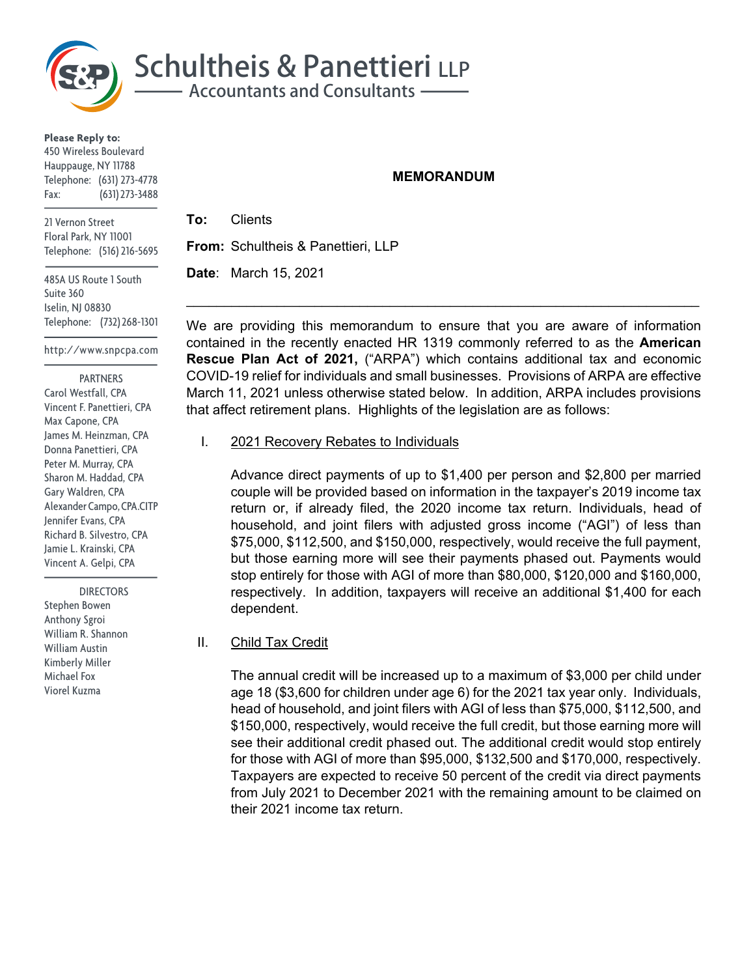

**Please Reply to:** 450 Wireless Boulevard Hauppauge, NY 11788 Telephone: (631) 273-4778 Fax: (631) 273-3488

21 Vernon Street Floral Park, NY 11001 Telephone: (516) 216-5695

485A US Route 1 South Suite 360 Iselin, NJ 08830 Telephone: (732) 268-1301

http://www.snpcpa.com

PARTNERS

Carol Westfall, CPA Vincent F. Panettieri, CPA Max Capone, CPA James M. Heinzman, CPA Donna Panettieri, CPA Peter M. Murray, CPA Sharon M. Haddad, CPA Gary Waldren, CPA Alexander Campo, CPA.CITP Jennifer Evans, CPA Richard B. Silvestro, CPA Jamie L. Krainski, CPA Vincent A. Gelpi, CPA

 DIRECTORS Stephen Bowen Anthony Sgroi William R. Shannon William Austin Kimberly Miller Michael Fox Viorel Kuzma

#### **MEMORANDUM**

**To:** Clients **From:** Schultheis & Panettieri, LLP

**Date**: March 15, 2021

We are providing this memorandum to ensure that you are aware of information contained in the recently enacted HR 1319 commonly referred to as the **American Rescue Plan Act of 2021,** ("ARPA") which contains additional tax and economic COVID-19 relief for individuals and small businesses. Provisions of ARPA are effective March 11, 2021 unless otherwise stated below. In addition, ARPA includes provisions that affect retirement plans. Highlights of the legislation are as follows:

 $\mathcal{L}_\text{max} = \mathcal{L}_\text{max} = \mathcal{L}_\text{max} = \mathcal{L}_\text{max} = \mathcal{L}_\text{max} = \mathcal{L}_\text{max} = \mathcal{L}_\text{max} = \mathcal{L}_\text{max} = \mathcal{L}_\text{max} = \mathcal{L}_\text{max} = \mathcal{L}_\text{max} = \mathcal{L}_\text{max} = \mathcal{L}_\text{max} = \mathcal{L}_\text{max} = \mathcal{L}_\text{max} = \mathcal{L}_\text{max} = \mathcal{L}_\text{max} = \mathcal{L}_\text{max} = \mathcal{$ 

## I. 2021 Recovery Rebates to Individuals

Advance direct payments of up to \$1,400 per person and \$2,800 per married couple will be provided based on information in the taxpayer's 2019 income tax return or, if already filed, the 2020 income tax return. Individuals, head of household, and joint filers with adjusted gross income ("AGI") of less than \$75,000, \$112,500, and \$150,000, respectively, would receive the full payment, but those earning more will see their payments phased out. Payments would stop entirely for those with AGI of more than \$80,000, \$120,000 and \$160,000, respectively. In addition, taxpayers will receive an additional \$1,400 for each dependent.

## II. Child Tax Credit

The annual credit will be increased up to a maximum of \$3,000 per child under age 18 (\$3,600 for children under age 6) for the 2021 tax year only. Individuals, head of household, and joint filers with AGI of less than \$75,000, \$112,500, and \$150,000, respectively, would receive the full credit, but those earning more will see their additional credit phased out. The additional credit would stop entirely for those with AGI of more than \$95,000, \$132,500 and \$170,000, respectively. Taxpayers are expected to receive 50 percent of the credit via direct payments from July 2021 to December 2021 with the remaining amount to be claimed on their 2021 income tax return.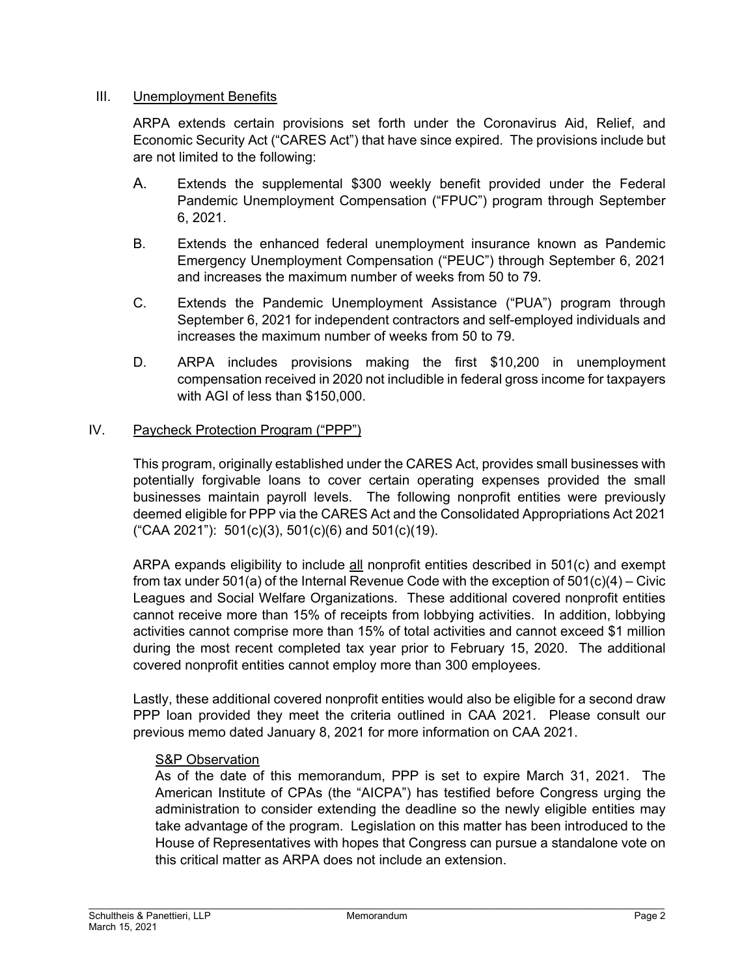## III. Unemployment Benefits

ARPA extends certain provisions set forth under the Coronavirus Aid, Relief, and Economic Security Act ("CARES Act") that have since expired. The provisions include but are not limited to the following:

- A. Extends the supplemental \$300 weekly benefit provided under the Federal Pandemic Unemployment Compensation ("FPUC") program through September 6, 2021.
- B. Extends the enhanced federal unemployment insurance known as Pandemic Emergency Unemployment Compensation ("PEUC") through September 6, 2021 and increases the maximum number of weeks from 50 to 79.
- C. Extends the Pandemic Unemployment Assistance ("PUA") program through September 6, 2021 for independent contractors and self-employed individuals and increases the maximum number of weeks from 50 to 79.
- D. ARPA includes provisions making the first \$10,200 in unemployment compensation received in 2020 not includible in federal gross income for taxpayers with AGI of less than \$150,000.

# IV. Paycheck Protection Program ("PPP")

This program, originally established under the CARES Act, provides small businesses with potentially forgivable loans to cover certain operating expenses provided the small businesses maintain payroll levels. The following nonprofit entities were previously deemed eligible for PPP via the CARES Act and the Consolidated Appropriations Act 2021 ("CAA 2021"): 501(c)(3), 501(c)(6) and 501(c)(19).

ARPA expands eligibility to include all nonprofit entities described in 501(c) and exempt from tax under 501(a) of the Internal Revenue Code with the exception of 501(c)(4) – Civic Leagues and Social Welfare Organizations. These additional covered nonprofit entities cannot receive more than 15% of receipts from lobbying activities. In addition, lobbying activities cannot comprise more than 15% of total activities and cannot exceed \$1 million during the most recent completed tax year prior to February 15, 2020. The additional covered nonprofit entities cannot employ more than 300 employees.

Lastly, these additional covered nonprofit entities would also be eligible for a second draw PPP loan provided they meet the criteria outlined in CAA 2021. Please consult our previous memo dated January 8, 2021 for more information on CAA 2021.

## S&P Observation

As of the date of this memorandum, PPP is set to expire March 31, 2021. The American Institute of CPAs (the "AICPA") has testified before Congress urging the administration to consider extending the deadline so the newly eligible entities may take advantage of the program. Legislation on this matter has been introduced to the House of Representatives with hopes that Congress can pursue a standalone vote on this critical matter as ARPA does not include an extension.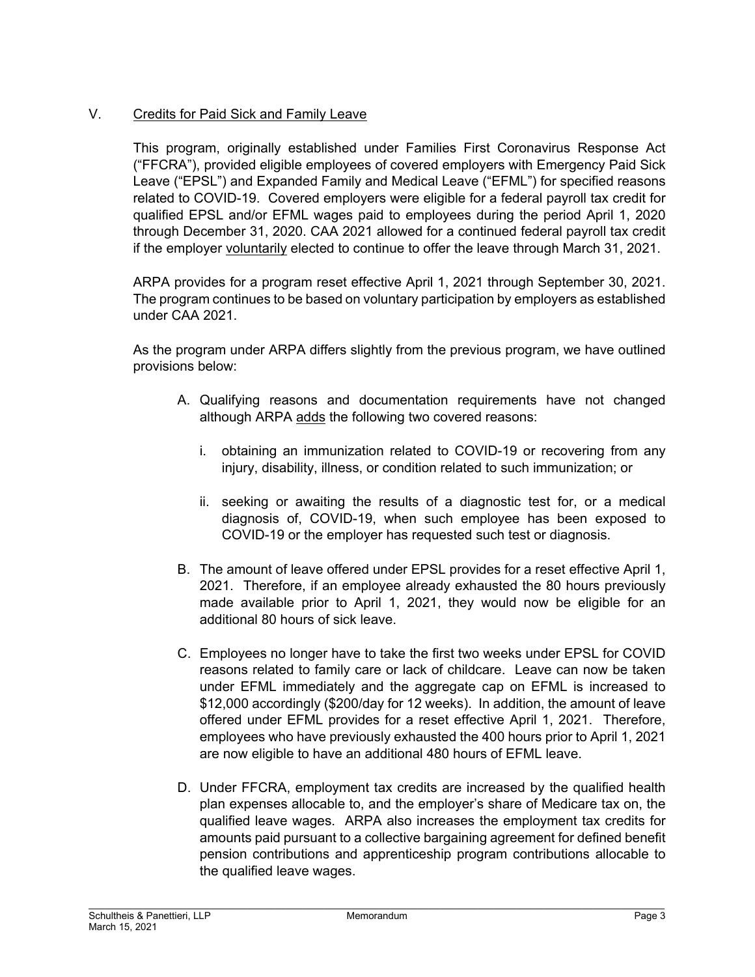# V. Credits for Paid Sick and Family Leave

This program, originally established under Families First Coronavirus Response Act ("FFCRA"), provided eligible employees of covered employers with Emergency Paid Sick Leave ("EPSL") and Expanded Family and Medical Leave ("EFML") for specified reasons related to COVID-19. Covered employers were eligible for a federal payroll tax credit for qualified EPSL and/or EFML wages paid to employees during the period April 1, 2020 through December 31, 2020. CAA 2021 allowed for a continued federal payroll tax credit if the employer voluntarily elected to continue to offer the leave through March 31, 2021.

ARPA provides for a program reset effective April 1, 2021 through September 30, 2021. The program continues to be based on voluntary participation by employers as established under CAA 2021.

As the program under ARPA differs slightly from the previous program, we have outlined provisions below:

- A. Qualifying reasons and documentation requirements have not changed although ARPA adds the following two covered reasons:
	- i. obtaining an immunization related to COVID-19 or recovering from any injury, disability, illness, or condition related to such immunization; or
	- ii. seeking or awaiting the results of a diagnostic test for, or a medical diagnosis of, COVID-19, when such employee has been exposed to COVID-19 or the employer has requested such test or diagnosis.
- B. The amount of leave offered under EPSL provides for a reset effective April 1, 2021. Therefore, if an employee already exhausted the 80 hours previously made available prior to April 1, 2021, they would now be eligible for an additional 80 hours of sick leave.
- C. Employees no longer have to take the first two weeks under EPSL for COVID reasons related to family care or lack of childcare. Leave can now be taken under EFML immediately and the aggregate cap on EFML is increased to \$12,000 accordingly (\$200/day for 12 weeks). In addition, the amount of leave offered under EFML provides for a reset effective April 1, 2021. Therefore, employees who have previously exhausted the 400 hours prior to April 1, 2021 are now eligible to have an additional 480 hours of EFML leave.
- D. Under FFCRA, employment tax credits are increased by the qualified health plan expenses allocable to, and the employer's share of Medicare tax on, the qualified leave wages. ARPA also increases the employment tax credits for amounts paid pursuant to a collective bargaining agreement for defined benefit pension contributions and apprenticeship program contributions allocable to the qualified leave wages.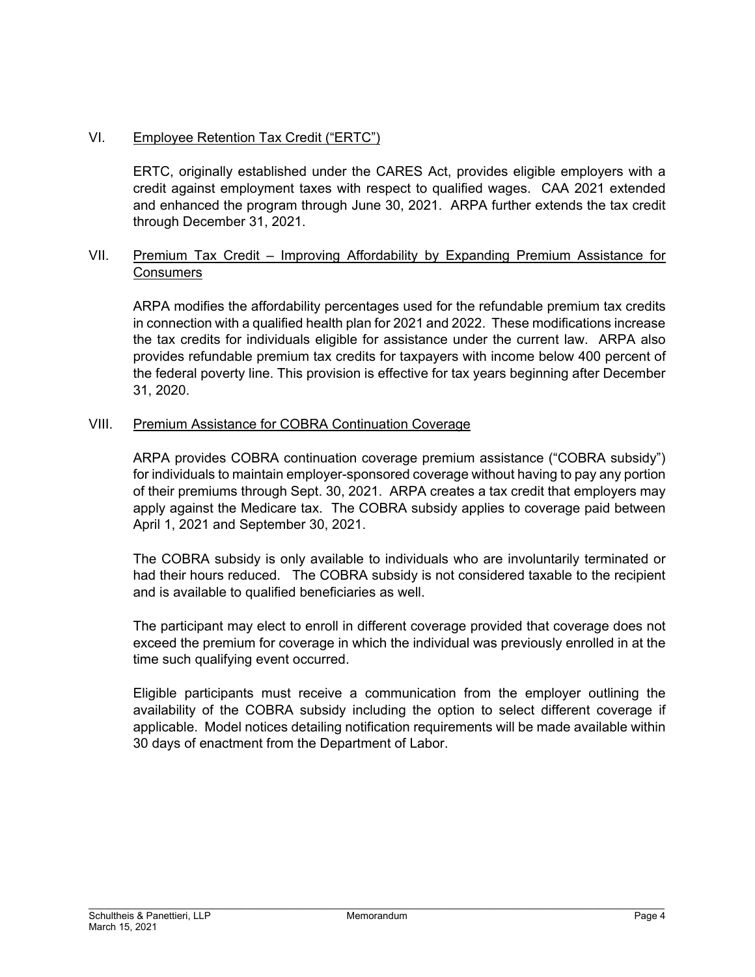# VI. Employee Retention Tax Credit ("ERTC")

ERTC, originally established under the CARES Act, provides eligible employers with a credit against employment taxes with respect to qualified wages. CAA 2021 extended and enhanced the program through June 30, 2021. ARPA further extends the tax credit through December 31, 2021.

## VII. Premium Tax Credit – Improving Affordability by Expanding Premium Assistance for **Consumers**

ARPA modifies the affordability percentages used for the refundable premium tax credits in connection with a qualified health plan for 2021 and 2022. These modifications increase the tax credits for individuals eligible for assistance under the current law. ARPA also provides refundable premium tax credits for taxpayers with income below 400 percent of the federal poverty line. This provision is effective for tax years beginning after December 31, 2020.

## VIII. Premium Assistance for COBRA Continuation Coverage

ARPA provides COBRA continuation coverage premium assistance ("COBRA subsidy") for individuals to maintain employer-sponsored coverage without having to pay any portion of their premiums through Sept. 30, 2021. ARPA creates a tax credit that employers may apply against the Medicare tax. The COBRA subsidy applies to coverage paid between April 1, 2021 and September 30, 2021.

The COBRA subsidy is only available to individuals who are involuntarily terminated or had their hours reduced. The COBRA subsidy is not considered taxable to the recipient and is available to qualified beneficiaries as well.

The participant may elect to enroll in different coverage provided that coverage does not exceed the premium for coverage in which the individual was previously enrolled in at the time such qualifying event occurred.

Eligible participants must receive a communication from the employer outlining the availability of the COBRA subsidy including the option to select different coverage if applicable. Model notices detailing notification requirements will be made available within 30 days of enactment from the Department of Labor.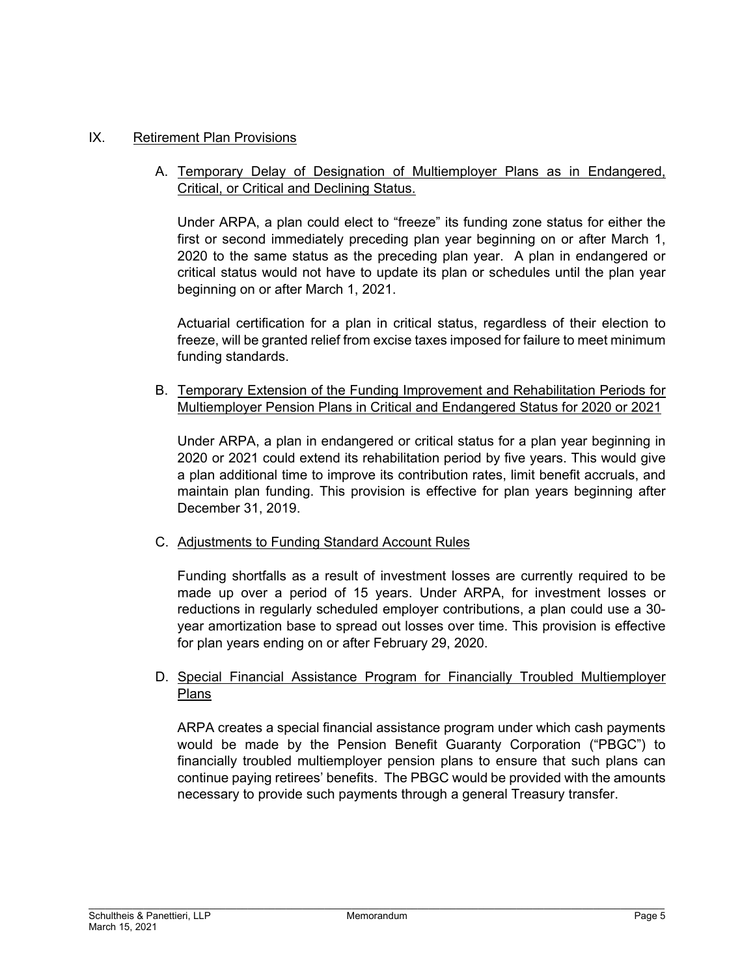## IX. Retirement Plan Provisions

## A. Temporary Delay of Designation of Multiemployer Plans as in Endangered, Critical, or Critical and Declining Status.

Under ARPA, a plan could elect to "freeze" its funding zone status for either the first or second immediately preceding plan year beginning on or after March 1, 2020 to the same status as the preceding plan year. A plan in endangered or critical status would not have to update its plan or schedules until the plan year beginning on or after March 1, 2021.

Actuarial certification for a plan in critical status, regardless of their election to freeze, will be granted relief from excise taxes imposed for failure to meet minimum funding standards.

B. Temporary Extension of the Funding Improvement and Rehabilitation Periods for Multiemployer Pension Plans in Critical and Endangered Status for 2020 or 2021

Under ARPA, a plan in endangered or critical status for a plan year beginning in 2020 or 2021 could extend its rehabilitation period by five years. This would give a plan additional time to improve its contribution rates, limit benefit accruals, and maintain plan funding. This provision is effective for plan years beginning after December 31, 2019.

## C. Adjustments to Funding Standard Account Rules

Funding shortfalls as a result of investment losses are currently required to be made up over a period of 15 years. Under ARPA, for investment losses or reductions in regularly scheduled employer contributions, a plan could use a 30 year amortization base to spread out losses over time. This provision is effective for plan years ending on or after February 29, 2020.

## D. Special Financial Assistance Program for Financially Troubled Multiemployer Plans

ARPA creates a special financial assistance program under which cash payments would be made by the Pension Benefit Guaranty Corporation ("PBGC") to financially troubled multiemployer pension plans to ensure that such plans can continue paying retirees' benefits. The PBGC would be provided with the amounts necessary to provide such payments through a general Treasury transfer.